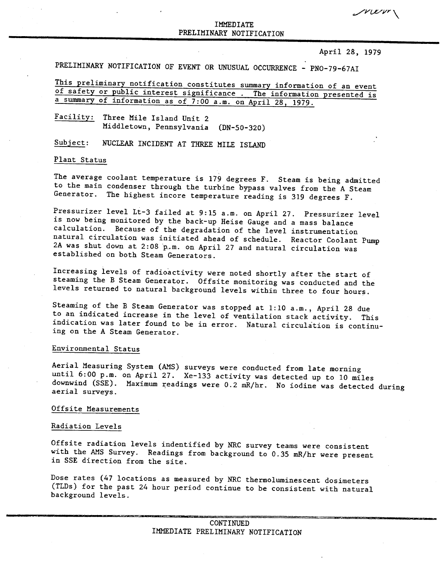$\gamma$ v $\alpha$ vr $\gamma$ 

# IMMEDIATE PRELIMINARY NOTIFICATION

### April 28, 1979

PRELIMINARY NOTIFICATION OF EVENT OR UNUSUAL OCCURRENCE - PNO-79-67AI

This preliminary notification constitutes summary information of an event of safety or public interest significance. The information presented is a summary of information as of 7:00 a.m. on April 28, 1979.

Facility: Three Mile Island Unit 2 Middletown, Pennsylvania (DN-50-320)

Subject: NUCLEAR INCIDENT AT THREE MILE ISLAND

#### Plant Status

The average coolant temperature is 179 degrees F. Steam is being admitted to the main condenser through the turbine bypass valves from the A Steam Generator. The highest incore temperature reading is 319 degrees F.

Pressurizer level Lt-3 failed at 9:15 a.m. on April 27. Pressurizer level is now being monitored by the back-up Heise Gauge and a mass balance calculation. Because of the degradation of the level instrumentation natural circulation was initiated ahead of schedule. Reactor Coolant Pump 2A was shut down at 2:08 p.m. on April 27 and natural circulation was established on both Steam Generators.

Increasing levels of radioactivity were noted shortly after the start of steaming the B Steam Generator. Offsite monitoring was conducted and the levels returned to natural background levels within three to four hours.

Steaming of the B Steam Generator was stopped at 1:10 a.m., April 28 due to an indicated increase in the level of ventilation stack activity. This indication was later found to be in error. Natural circulation is continuing on the A Steam Generator.

## Environmental Status

Aerial Measuring System (AMS) surveys were conducted from late morning until 6:00 p.m. on April 27. Xe-133 activity was detected up to 10 miles downwind (SSE). Maximum readings were 0.2 mR/hr. No iodine was detected during aerial surveys.

# Offsite Measurements

### Radiation Levels

Offsite radiation levels indentified by NRC survey teams were consistent with the AMS Survey. Readings from background to 0.35 mR/hr were present in SSE direction from the site.

Dose rates (47 locations as measured by NRC thermoluminescent dosimeters (TLDs) for the past 24 hour period continue to be consistent with natural background levels.

\_\_\_\_\_\_\_\_\_\_\_ •••••••• ""•••"'-'=•••••"""" \_\_ zc:::::11.=\_===================""""=====-==--**---=---**